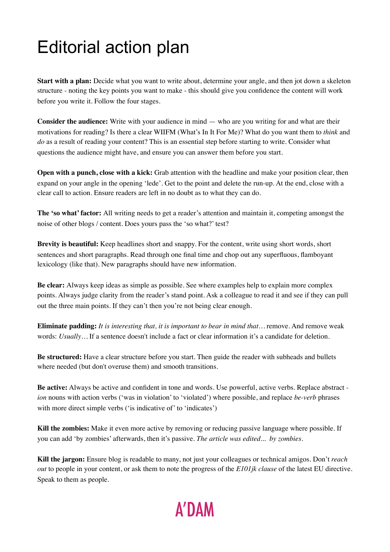## Editorial action plan

**Start with a plan:** Decide what you want to write about, determine your angle, and then jot down a skeleton structure - noting the key points you want to make - this should give you confidence the content will work before you write it. Follow the four stages.

**Consider the audience:** Write with your audience in mind — who are you writing for and what are their motivations for reading? Is there a clear WIIFM (What's In It For Me)? What do you want them to *think* and *do* as a result of reading your content? This is an essential step before starting to write. Consider what questions the audience might have, and ensure you can answer them before you start.

**Open with a punch, close with a kick:** Grab attention with the headline and make your position clear, then expand on your angle in the opening 'lede'. Get to the point and delete the run-up. At the end, close with a clear call to action. Ensure readers are left in no doubt as to what they can do.

**The 'so what' factor:** All writing needs to get a reader's attention and maintain it, competing amongst the noise of other blogs / content. Does yours pass the 'so what?' test?

**Brevity is beautiful:** Keep headlines short and snappy. For the content, write using short words, short sentences and short paragraphs. Read through one final time and chop out any superfluous, flamboyant lexicology (like that). New paragraphs should have new information.

**Be clear:** Always keep ideas as simple as possible. See where examples help to explain more complex points. Always judge clarity from the reader's stand point. Ask a colleague to read it and see if they can pull out the three main points. If they can't then you're not being clear enough.

**Eliminate padding:** *It is interesting that, it is important to bear in mind that…* remove. And remove weak words: *Usually…* If a sentence doesn't include a fact or clear information it's a candidate for deletion.

**Be structured:** Have a clear structure before you start. Then guide the reader with subheads and bullets where needed (but don't overuse them) and smooth transitions.

**Be active:** Always be active and confident in tone and words. Use powerful, active verbs. Replace abstract  *ion* nouns with action verbs ('was in violation' to 'violated') where possible, and replace *be-verb* phrases with more direct simple verbs ('is indicative of' to 'indicates')

**Kill the zombies:** Make it even more active by removing or reducing passive language where possible. If you can add 'by zombies' afterwards, then it's passive. *The article was edited... by zombies.*

**Kill the jargon:** Ensure blog is readable to many, not just your colleagues or technical amigos. Don't *reach out* to people in your content, or ask them to note the progress of the *E101jk clause* of the latest EU directive. Speak to them as people.

## **A'DAM**